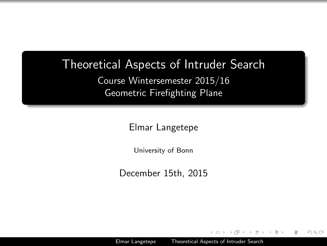### Theoretical Aspects of Intruder Search

Course Wintersemester 2015/16 Geometric Firefighting Plane

Elmar Langetepe

University of Bonn

December 15th, 2015

<span id="page-0-0"></span>つくい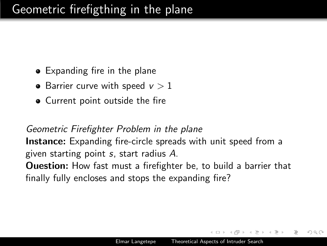# Geometric firefigthing in the plane

- Expanding fire in the plane
- Barrier curve with speed  $v > 1$
- Current point outside the fire

Geometric Firefighter Problem in the plane **Instance:** Expanding fire-circle spreads with unit speed from a given starting point s, start radius A. **Ouestion:** How fast must a firefighter be, to build a barrier that finally fully encloses and stops the expanding fire?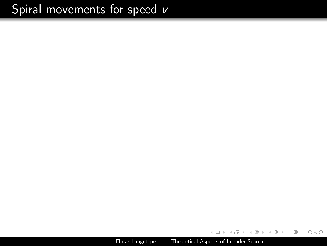Elmar Langetepe [Theoretical Aspects of Intruder Search](#page-0-0)

a.  $\Box$  K 등 > K 등 >

 $\sim$ 

 $\equiv$ 

 $\mathcal{L} \subset \mathcal{L}$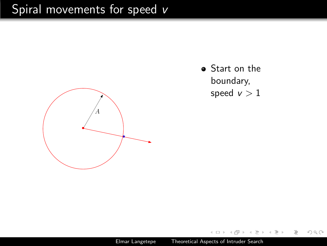

• Start on the boundary, speed  $v > 1$ 

 $\mathcal{L} \subset \mathcal{L}$ 

 $\equiv$ 

Elmar Langetepe [Theoretical Aspects of Intruder Search](#page-0-0)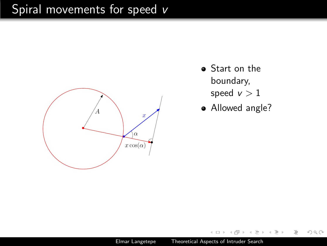

- Start on the boundary,
	- speed  $v > 1$
- Allowed angle?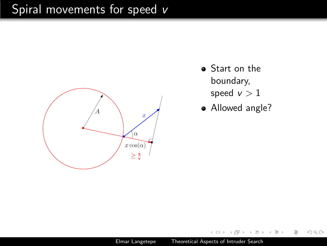

- Start on the boundary,
	- speed  $v > 1$
- Allowed angle?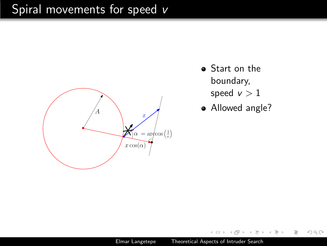

- Start on the boundary,
	- speed  $v > 1$
- Allowed angle?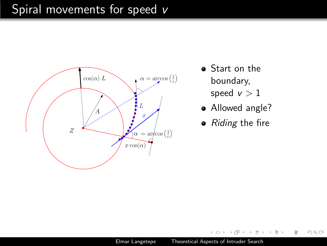

- Start on the boundary,
	- speed  $v > 1$
- Allowed angle?
- Riding the fire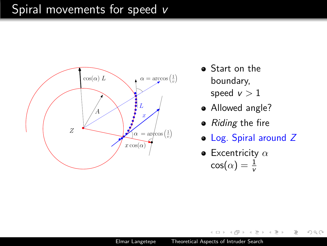

- Start on the boundary,
	- speed  $v > 1$
- Allowed angle?
- Riding the fire
- Log. Spiral around Z

 $OQ$ 

• Excentricity  $\alpha$  $\cos(\alpha) = \frac{1}{v}$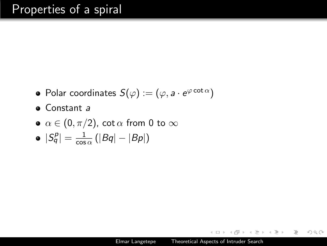- Polar coordinates  $S(\varphi) := (\varphi, a \cdot e^{\varphi \cot \alpha})$
- $\bullet$  Constant a
- $\alpha \in (0, \pi/2)$ , cot  $\alpha$  from 0 to  $\infty$
- $|S^p_q|=\frac{1}{\cos}$  $\frac{1}{\cos \alpha} (|Bq| - |Bp|)$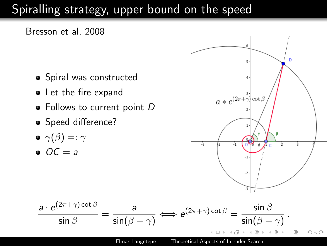# Spiralling strategy, upper bound on the speed





$$
\bullet\ \gamma (\beta) =: \gamma
$$

$$
\bullet \ \overline{OC} = a
$$

$$
a * e^{(2\pi + \gamma_1^2 \cot \beta)}
$$

$$
\frac{a \cdot e^{(2\pi+\gamma)\cot\beta}}{\sin\beta} = \frac{a}{\sin(\beta-\gamma)} \Longleftrightarrow e^{(2\pi+\gamma)\cot\beta} = \frac{\sin\beta}{\sin(\beta-\gamma)}.
$$

Elmar Langetepe [Theoretical Aspects of Intruder Search](#page-0-0)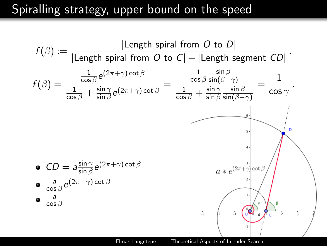## Spiralling strategy, upper bound on the speed



<span id="page-11-0"></span>Elmar Langetepe [Theoretical Aspects of Intruder Search](#page-0-0)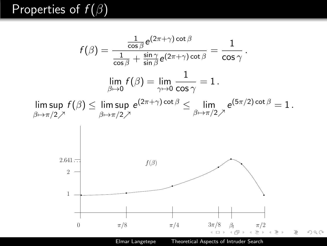# Properties of  $f(\beta)$

<span id="page-12-0"></span>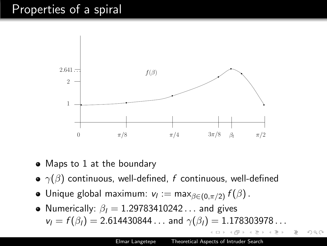## Properties of a spiral



- Maps to 1 at the boundary
- $\gamma(\beta)$  continuous, well-defined, f continuous, well-defined
- Unique global maximum:  $\mathsf{v}_l := \mathsf{max}_{\beta \in (0, \pi/2)}\, f(\beta)\,.$
- Numerically:  $\beta_1 = 1.29783410242...$  and gives  $v_l = f(\beta_l) = 2.614430844...$  and  $\gamma(\beta_l) = 1.178303978...$

つくい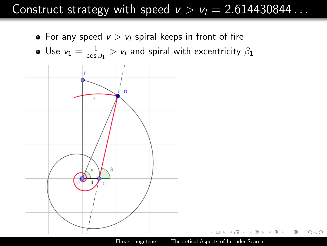## Construct strategy with speed  $v > v_l = 2.614430844...$

 $OQ$ 

• For any speed  $v > v_l$  spiral keeps in front of fire

• Use 
$$
v_1 = \frac{1}{\cos \beta_1} > v_1
$$
 and spiral with eccentricity  $\beta_1$ 

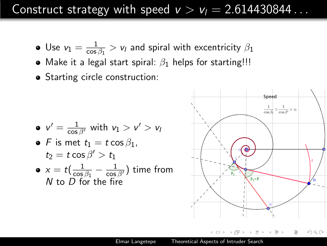### Construct strategy with speed  $v > v_1 = 2.614430844...$

- Use  $v_1 = \frac{1}{\cos \theta}$  $\frac{1}{\cos\beta_1} > \nu_l$  and spiral with excentricity  $\beta_1$
- Make it a legal start spiral:  $\beta_1$  helps for starting!!!
- Starting circle construction:

\n- $$
v' = \frac{1}{\cos \beta'}
$$
 with  $v_1 > v' > v_1$
\n- $F$  is met  $t_1 = t \cos \beta_1$ ,  $t_2 = t \cos \beta' > t_1$
\n- $x = t \left( \frac{1}{\cos \beta_1} - \frac{1}{\cos \beta'} \right)$  time from  $N$  to  $D$  for the fire
\n

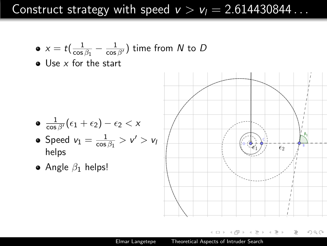Construct strategy with speed  $v > v_l = 2.614430844...$ 

• 
$$
x = t\left(\frac{1}{\cos \beta_1} - \frac{1}{\cos \beta'}\right)
$$
 time from *N* to *D*

 $\bullet$  Use x for the start

$$
\bullet \ \frac{1}{\cos \beta'}(\epsilon_1+\epsilon_2)-\epsilon_2 < x
$$

- Speed  $v_1 = \frac{1}{\cos \theta}$  $\frac{1}{\cos\beta_1} > \mathsf{v}' > \mathsf{v}_\mathsf{I}$ helps
- Angle  $\beta_1$  helps!

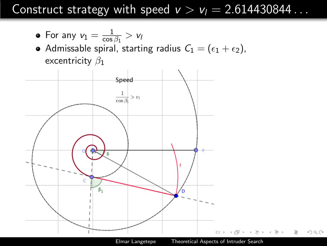### Construct strategy with speed  $v > v_l = 2.614430844...$

• For any 
$$
v_1 = \frac{1}{\cos \beta_1} > v_1
$$

Admissable spiral, starting radius  $\mathcal{C}_1 = (\epsilon_1 + \epsilon_2)$ , excentricity  $\beta_1$ 

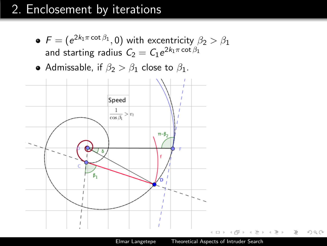# 2. Enclosement by iterations

- $\mathcal{F} = (e^{2k_1\pi\cot\beta_1},0)$  with excentricity  $\beta_2 > \beta_1$ and starting radius  $\mathit{C}_2 = \mathit{C}_1 e^{2k_1\pi\cot\beta_1}$
- Admissable, if  $\beta_2 > \beta_1$  close to  $\beta_1$ .

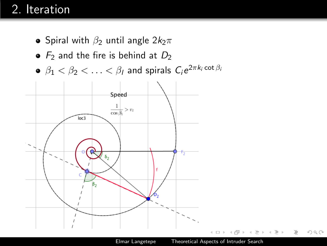# 2. Iteration

- Spiral with  $\beta_2$  until angle  $2k_2\pi$
- $\bullet$  F<sub>2</sub> and the fire is behind at  $D_2$
- $\beta_1 < \beta_2 < \ldots < \beta_l$  and spirals  $C_i e^{2\pi k_i \cot \beta_l}$

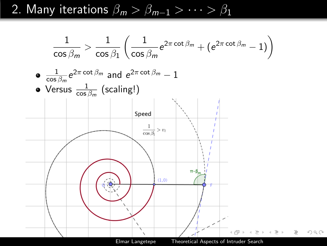2. Many iterations  $\beta_m > \beta_{m-1} > \cdots > \beta_1$ 

 <sup>2</sup><sup>π</sup> cot <sup>β</sup><sup>m</sup> <sup>−</sup> 1) 1 1 1 <sup>2</sup><sup>π</sup> cot <sup>β</sup><sup>m</sup> + (e > e cos β<sup>m</sup> cos β<sup>1</sup> cos β<sup>m</sup> 1 <sup>2</sup><sup>π</sup> cot <sup>β</sup><sup>m</sup> and e <sup>2</sup><sup>π</sup> cot <sup>β</sup><sup>m</sup> <sup>−</sup> <sup>1</sup> e cos βm Versus <sup>1</sup> (scaling!) cos βm Elmar Langetepe [Theoretical Aspects of Intruder Search](#page-0-0)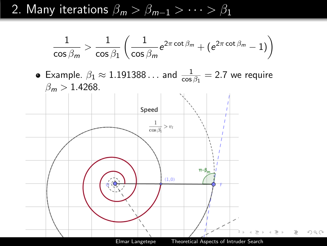2. Many iterations  $\beta_m > \beta_{m-1} > \cdots > \beta_1$ 

$$
\frac{1}{\cos{\beta_m}} > \frac{1}{\cos{\beta_1}} \left( \frac{1}{\cos{\beta_m}} e^{2\pi \cot{\beta_m}} + (e^{2\pi \cot{\beta_m}} - 1) \right)
$$

Example.  $\beta_1 \approx 1.191388...$  and  $\frac{1}{\cos \beta_1} = 2.7$  we require  $\beta_m > 1.4268$ .

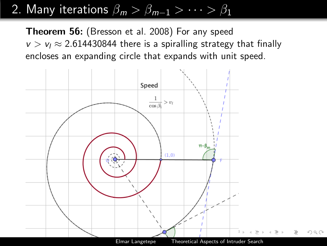# 2. Many iterations  $\beta_m > \beta_{m-1} > \cdots > \beta_1$

Theorem 56: (Bresson et al. 2008) For any speed  $v > v_1 \approx 2.614430844$  there is a spiralling strategy that finally encloses an expanding circle that expands with unit speed.

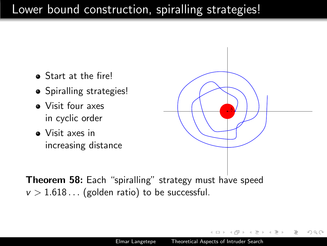# Lower bound construction, spiralling strategies!

- Start at the fire!
- Spiralling strategies!
- Visit four axes in cyclic order
- Visit axes in increasing distance



つくい

Theorem 58: Each "spiralling" strategy must have speed  $v > 1.618...$  (golden ratio) to be successful.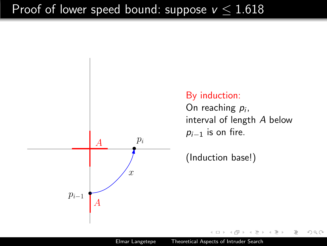

#### By induction:

On reaching  $p_i$ , interval of length A below  $p_{i-1}$  is on fire.

 $OQ$ 

(Induction base!)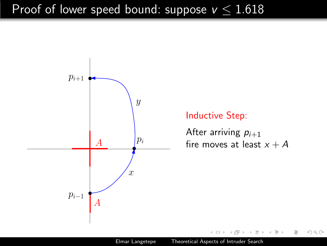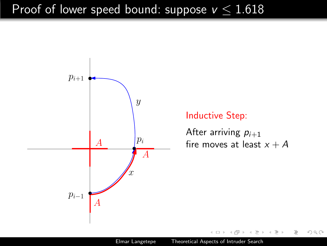

Elmar Langetepe [Theoretical Aspects of Intruder Search](#page-0-0)